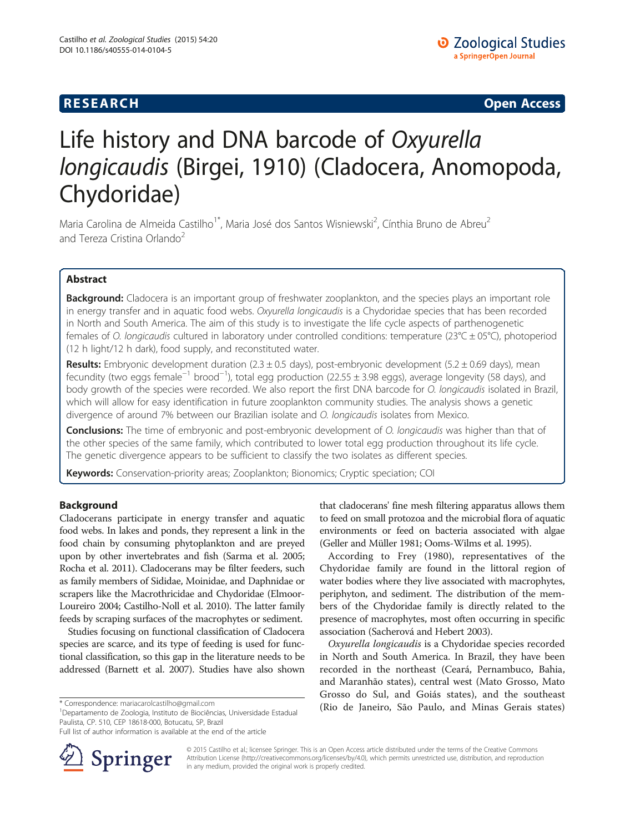# **RESEARCH CHE Open Access**

# Life history and DNA barcode of Oxyurella longicaudis (Birgei, 1910) (Cladocera, Anomopoda, Chydoridae)

Maria Carolina de Almeida Castilho<sup>1\*</sup>, Maria José dos Santos Wisniewski<sup>2</sup>, Cínthia Bruno de Abreu<sup>2</sup> and Tereza Cristina Orlando<sup>2</sup>

# Abstract

Background: Cladocera is an important group of freshwater zooplankton, and the species plays an important role in energy transfer and in aquatic food webs. Oxyurella longicaudis is a Chydoridae species that has been recorded in North and South America. The aim of this study is to investigate the life cycle aspects of parthenogenetic females of O. longicaudis cultured in laboratory under controlled conditions: temperature ( $23^{\circ}C \pm 05^{\circ}C$ ), photoperiod (12 h light/12 h dark), food supply, and reconstituted water.

Results: Embryonic development duration  $(2.3 \pm 0.5$  days), post-embryonic development  $(5.2 \pm 0.69$  days), mean fecundity (two eggs female−<sup>1</sup> brood−<sup>1</sup> ), total egg production (22.55 ± 3.98 eggs), average longevity (58 days), and body growth of the species were recorded. We also report the first DNA barcode for O. longicaudis isolated in Brazil, which will allow for easy identification in future zooplankton community studies. The analysis shows a genetic divergence of around 7% between our Brazilian isolate and O. longicaudis isolates from Mexico.

Conclusions: The time of embryonic and post-embryonic development of O. longicaudis was higher than that of the other species of the same family, which contributed to lower total egg production throughout its life cycle. The genetic divergence appears to be sufficient to classify the two isolates as different species.

Keywords: Conservation-priority areas; Zooplankton; Bionomics; Cryptic speciation; COI

# Background

Cladocerans participate in energy transfer and aquatic food webs. In lakes and ponds, they represent a link in the food chain by consuming phytoplankton and are preyed upon by other invertebrates and fish (Sarma et al. [2005](#page-6-0); Rocha et al. [2011\)](#page-6-0). Cladocerans may be filter feeders, such as family members of Sididae, Moinidae, and Daphnidae or scrapers like the Macrothricidae and Chydoridae (Elmoor-Loureiro [2004](#page-6-0); Castilho-Noll et al. [2010\)](#page-6-0). The latter family feeds by scraping surfaces of the macrophytes or sediment.

Studies focusing on functional classification of Cladocera species are scarce, and its type of feeding is used for functional classification, so this gap in the literature needs to be addressed (Barnett et al. [2007](#page-5-0)). Studies have also shown

Departamento de Zoologia, Instituto de Biociências, Universidade Estadual Paulista, CP. 510, CEP 18618-000, Botucatu, SP, Brazil

Full list of author information is available at the end of the article



that cladocerans' fine mesh filtering apparatus allows them to feed on small protozoa and the microbial flora of aquatic environments or feed on bacteria associated with algae (Geller and Müller [1981](#page-6-0); Ooms-Wilms et al. [1995](#page-6-0)).

According to Frey ([1980\)](#page-6-0), representatives of the Chydoridae family are found in the littoral region of water bodies where they live associated with macrophytes, periphyton, and sediment. The distribution of the members of the Chydoridae family is directly related to the presence of macrophytes, most often occurring in specific association (Sacherová and Hebert [2003](#page-6-0)).

Oxyurella longicaudis is a Chydoridae species recorded in North and South America. In Brazil, they have been recorded in the northeast (Ceará, Pernambuco, Bahia, and Maranhão states), central west (Mato Grosso, Mato Grosso do Sul, and Goiás states), and the southeast \*Correspondence: [mariacarolcastilho@gmail.com](mailto:mariacarolcastilho@gmail.com) (Rio de Janeiro, São Paulo, and Minas Gerais states)

> © 2015 Castilho et al.; licensee Springer. This is an Open Access article distributed under the terms of the Creative Commons Attribution License [\(http://creativecommons.org/licenses/by/4.0\)](http://creativecommons.org/licenses/by/4.0), which permits unrestricted use, distribution, and reproduction in any medium, provided the original work is properly credited.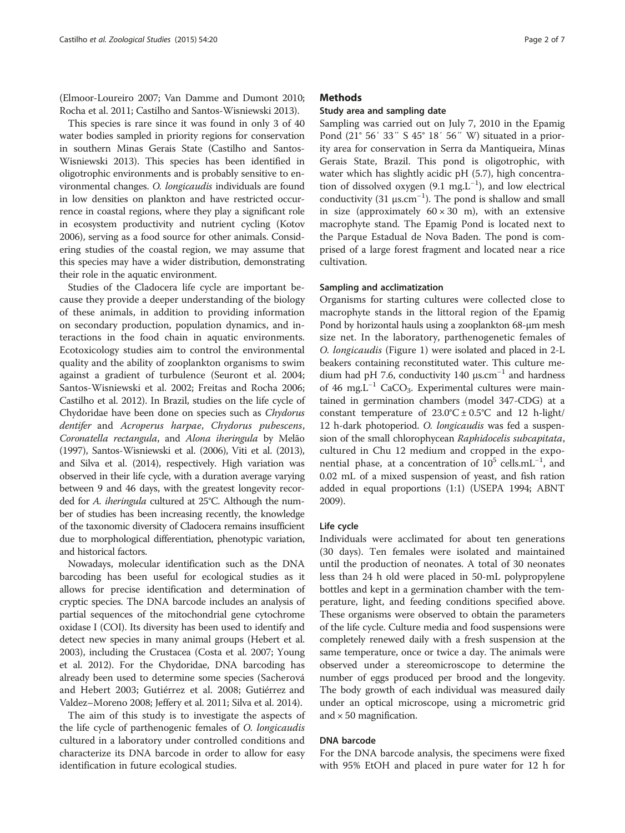(Elmoor-Loureiro [2007;](#page-6-0) Van Damme and Dumont [2010](#page-6-0); Rocha et al. [2011;](#page-6-0) Castilho and Santos-Wisniewski [2013](#page-5-0)).

This species is rare since it was found in only 3 of 40 water bodies sampled in priority regions for conservation in southern Minas Gerais State (Castilho and Santos-Wisniewski [2013\)](#page-5-0). This species has been identified in oligotrophic environments and is probably sensitive to environmental changes. O. longicaudis individuals are found in low densities on plankton and have restricted occurrence in coastal regions, where they play a significant role in ecosystem productivity and nutrient cycling (Kotov [2006\)](#page-6-0), serving as a food source for other animals. Considering studies of the coastal region, we may assume that this species may have a wider distribution, demonstrating their role in the aquatic environment.

Studies of the Cladocera life cycle are important because they provide a deeper understanding of the biology of these animals, in addition to providing information on secondary production, population dynamics, and interactions in the food chain in aquatic environments. Ecotoxicology studies aim to control the environmental quality and the ability of zooplankton organisms to swim against a gradient of turbulence (Seuront et al. [2004](#page-6-0); Santos-Wisniewski et al. [2002;](#page-6-0) Freitas and Rocha [2006](#page-6-0); Castilho et al. [2012](#page-5-0)). In Brazil, studies on the life cycle of Chydoridae have been done on species such as Chydorus dentifer and Acroperus harpae, Chydorus pubescens, Coronatella rectangula, and Alona iheringula by Melão ([1997\)](#page-6-0), Santos-Wisniewski et al. [\(2006](#page-6-0)), Viti et al. [\(2013](#page-6-0)), and Silva et al. [\(2014](#page-6-0)), respectively. High variation was observed in their life cycle, with a duration average varying between 9 and 46 days, with the greatest longevity recorded for A. iheringula cultured at 25°C. Although the number of studies has been increasing recently, the knowledge of the taxonomic diversity of Cladocera remains insufficient due to morphological differentiation, phenotypic variation, and historical factors.

Nowadays, molecular identification such as the DNA barcoding has been useful for ecological studies as it allows for precise identification and determination of cryptic species. The DNA barcode includes an analysis of partial sequences of the mitochondrial gene cytochrome oxidase I (COI). Its diversity has been used to identify and detect new species in many animal groups (Hebert et al. [2003\)](#page-6-0), including the Crustacea (Costa et al. [2007](#page-6-0); Young et al. [2012](#page-6-0)). For the Chydoridae, DNA barcoding has already been used to determine some species (Sacherová and Hebert [2003](#page-6-0); Gutiérrez et al. [2008](#page-6-0); Gutiérrez and Valdez–Moreno [2008](#page-6-0); Jeffery et al. [2011](#page-6-0); Silva et al. [2014](#page-6-0)).

The aim of this study is to investigate the aspects of the life cycle of parthenogenic females of O. longicaudis cultured in a laboratory under controlled conditions and characterize its DNA barcode in order to allow for easy identification in future ecological studies.

#### **Methods**

#### Study area and sampling date

Sampling was carried out on July 7, 2010 in the Epamig Pond (21° 56′ 33″ S 45° 18′ 56″ W) situated in a priority area for conservation in Serra da Mantiqueira, Minas Gerais State, Brazil. This pond is oligotrophic, with water which has slightly acidic pH (5.7), high concentration of dissolved oxygen (9.1 mg.L−<sup>1</sup> ), and low electrical conductivity (31  $\mu$ s.cm<sup>-1</sup>). The pond is shallow and small in size (approximately  $60 \times 30$  m), with an extensive macrophyte stand. The Epamig Pond is located next to the Parque Estadual de Nova Baden. The pond is comprised of a large forest fragment and located near a rice cultivation.

#### Sampling and acclimatization

Organisms for starting cultures were collected close to macrophyte stands in the littoral region of the Epamig Pond by horizontal hauls using a zooplankton 68-μm mesh size net. In the laboratory, parthenogenetic females of O. longicaudis (Figure [1](#page-2-0)) were isolated and placed in 2-L beakers containing reconstituted water. This culture medium had pH 7.6, conductivity 140  $\mu$ s.cm<sup>-1</sup> and hardness of 46 mg.L<sup>-1</sup> CaCO<sub>3</sub>. Experimental cultures were maintained in germination chambers (model 347-CDG) at a constant temperature of  $23.0^{\circ}$ C  $\pm$  0.5°C and 12 h-light/ 12 h-dark photoperiod. O. longicaudis was fed a suspension of the small chlorophycean Raphidocelis subcapitata, cultured in Chu 12 medium and cropped in the exponential phase, at a concentration of  $10^5$  cells.mL<sup>-1</sup>, and 0.02 mL of a mixed suspension of yeast, and fish ration added in equal proportions (1:1) (USEPA [1994;](#page-6-0) ABNT [2009](#page-5-0)).

#### Life cycle

Individuals were acclimated for about ten generations (30 days). Ten females were isolated and maintained until the production of neonates. A total of 30 neonates less than 24 h old were placed in 50-mL polypropylene bottles and kept in a germination chamber with the temperature, light, and feeding conditions specified above. These organisms were observed to obtain the parameters of the life cycle. Culture media and food suspensions were completely renewed daily with a fresh suspension at the same temperature, once or twice a day. The animals were observed under a stereomicroscope to determine the number of eggs produced per brood and the longevity. The body growth of each individual was measured daily under an optical microscope, using a micrometric grid and  $\times$  50 magnification.

#### DNA barcode

For the DNA barcode analysis, the specimens were fixed with 95% EtOH and placed in pure water for 12 h for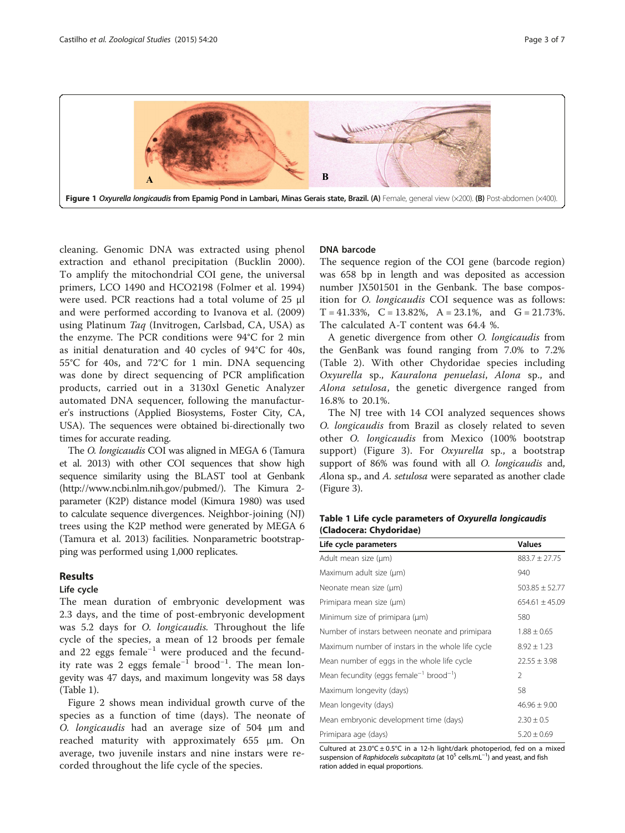<span id="page-2-0"></span>

cleaning. Genomic DNA was extracted using phenol extraction and ethanol precipitation (Bucklin [2000](#page-5-0)). To amplify the mitochondrial COI gene, the universal primers, LCO 1490 and HCO2198 (Folmer et al. [1994](#page-6-0)) were used. PCR reactions had a total volume of 25 μl and were performed according to Ivanova et al. [\(2009](#page-6-0)) using Platinum Taq (Invitrogen, Carlsbad, CA, USA) as the enzyme. The PCR conditions were 94°C for 2 min as initial denaturation and 40 cycles of 94°C for 40s, 55°C for 40s, and 72°C for 1 min. DNA sequencing was done by direct sequencing of PCR amplification products, carried out in a 3130xl Genetic Analyzer automated DNA sequencer, following the manufacturer's instructions (Applied Biosystems, Foster City, CA, USA). The sequences were obtained bi-directionally two times for accurate reading.

The O. longicaudis COI was aligned in MEGA 6 (Tamura et al. [2013](#page-6-0)) with other COI sequences that show high sequence similarity using the BLAST tool at Genbank (<http://www.ncbi.nlm.nih.gov/pubmed/>). The Kimura 2 parameter (K2P) distance model (Kimura [1980\)](#page-6-0) was used to calculate sequence divergences. Neighbor-joining (NJ) trees using the K2P method were generated by MEGA 6 (Tamura et al. [2013\)](#page-6-0) facilities. Nonparametric bootstrapping was performed using 1,000 replicates.

### Results

#### Life cycle

The mean duration of embryonic development was 2.3 days, and the time of post-embryonic development was 5.2 days for O. longicaudis. Throughout the life cycle of the species, a mean of 12 broods per female and 22 eggs female−<sup>1</sup> were produced and the fecundity rate was 2 eggs female−<sup>1</sup> brood−<sup>1</sup> . The mean longevity was 47 days, and maximum longevity was 58 days (Table 1).

Figure [2](#page-3-0) shows mean individual growth curve of the species as a function of time (days). The neonate of O. longicaudis had an average size of 504 μm and reached maturity with approximately 655 μm. On average, two juvenile instars and nine instars were recorded throughout the life cycle of the species.

#### DNA barcode

The sequence region of the COI gene (barcode region) was 658 bp in length and was deposited as accession number JX501501 in the Genbank. The base composition for O. longicaudis COI sequence was as follows:  $T = 41.33\%, \quad C = 13.82\%, \quad A = 23.1\%, \quad \text{and} \quad G = 21.73\%.$ The calculated A-T content was 64.4 %.

A genetic divergence from other O. longicaudis from the GenBank was found ranging from 7.0% to 7.2% (Table [2\)](#page-3-0). With other Chydoridae species including Oxyurella sp., Kauralona penuelasi, Alona sp., and Alona setulosa, the genetic divergence ranged from 16.8% to 20.1%.

The NJ tree with 14 COI analyzed sequences shows O. longicaudis from Brazil as closely related to seven other O. longicaudis from Mexico (100% bootstrap support) (Figure [3\)](#page-4-0). For Oxyurella sp., a bootstrap support of 86% was found with all *O. longicaudis* and, Alona sp., and A. setulosa were separated as another clade (Figure [3](#page-4-0)).

| Table 1 Life cycle parameters of Oxyurella longicaudis |  |
|--------------------------------------------------------|--|
| (Cladocera: Chydoridae)                                |  |

| Life cycle parameters                                           | <b>Values</b>      |  |  |
|-----------------------------------------------------------------|--------------------|--|--|
| Adult mean size (µm)                                            | $883.7 \pm 27.75$  |  |  |
| Maximum adult size (µm)                                         | 940                |  |  |
| Neonate mean size (µm)                                          | $503.85 \pm 52.77$ |  |  |
| Primipara mean size (µm)                                        | $654.61 \pm 45.09$ |  |  |
| Minimum size of primipara (µm)                                  | 580                |  |  |
| Number of instars between neonate and primipara                 | $1.88 \pm 0.65$    |  |  |
| Maximum number of instars in the whole life cycle               | $8.92 \pm 1.23$    |  |  |
| Mean number of eggs in the whole life cycle                     | $22.55 \pm 3.98$   |  |  |
| Mean fecundity (eggs female <sup>-1</sup> brood <sup>-1</sup> ) | $\mathcal{P}$      |  |  |
| Maximum longevity (days)                                        | 58                 |  |  |
| Mean longevity (days)                                           | $46.96 \pm 9.00$   |  |  |
| Mean embryonic development time (days)                          | $2.30 \pm 0.5$     |  |  |
| Primipara age (days)                                            | $5.20 \pm 0.69$    |  |  |

Cultured at  $23.0^{\circ}$ C ± 0.5°C in a 12-h light/dark photoperiod, fed on a mixed suspension of Raphidocelis subcapitata (at 10<sup>5</sup> cells.mL<sup>-1</sup>) and yeast, and fish ration added in equal proportions.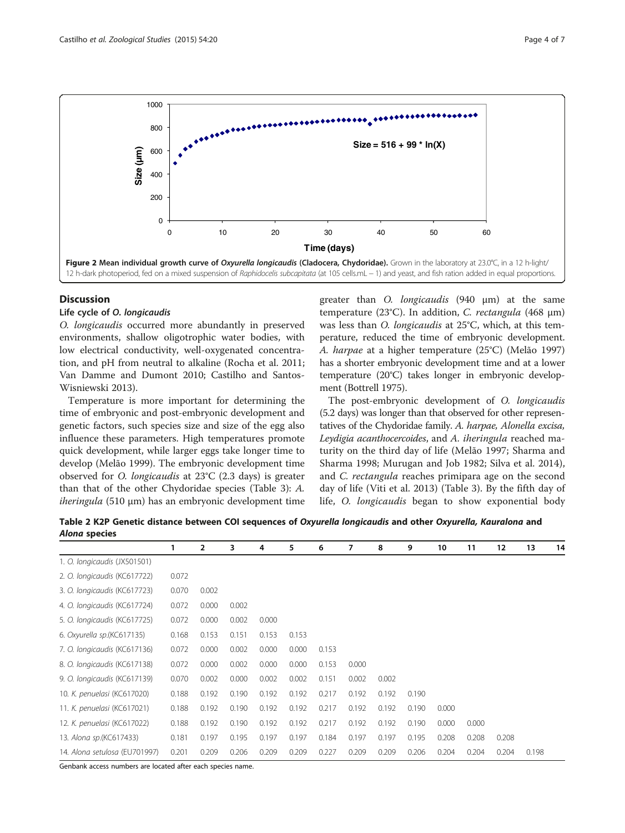<span id="page-3-0"></span>

#### **Discussion**

## Life cycle of O. longicaudis

O. longicaudis occurred more abundantly in preserved environments, shallow oligotrophic water bodies, with low electrical conductivity, well-oxygenated concentration, and pH from neutral to alkaline (Rocha et al. [2011](#page-6-0); Van Damme and Dumont [2010](#page-6-0); Castilho and Santos-Wisniewski [2013\)](#page-5-0).

Temperature is more important for determining the time of embryonic and post-embryonic development and genetic factors, such species size and size of the egg also influence these parameters. High temperatures promote quick development, while larger eggs take longer time to develop (Melão [1999\)](#page-6-0). The embryonic development time observed for O. longicaudis at 23°C (2.3 days) is greater than that of the other Chydoridae species (Table [3](#page-4-0)): A.  $i$ heringula (510 µm) has an embryonic development time

greater than O. longicaudis (940 μm) at the same temperature (23°C). In addition, C. rectangula (468 μm) was less than O. longicaudis at 25°C, which, at this temperature, reduced the time of embryonic development. A. harpae at a higher temperature (25°C) (Melão [1997](#page-6-0)) has a shorter embryonic development time and at a lower temperature (20°C) takes longer in embryonic development (Bottrell [1975\)](#page-5-0).

The post-embryonic development of O. longicaudis (5.2 days) was longer than that observed for other representatives of the Chydoridae family. A. harpae, Alonella excisa, Leydigia acanthocercoides, and A. iheringula reached maturity on the third day of life (Melão [1997;](#page-6-0) Sharma and Sharma [1998](#page-6-0); Murugan and Job [1982;](#page-6-0) Silva et al. [2014](#page-6-0)), and C. rectangula reaches primipara age on the second day of life (Viti et al. [2013](#page-6-0)) (Table [3\)](#page-4-0). By the fifth day of life, O. longicaudis began to show exponential body

Table 2 K2P Genetic distance between COI sequences of Oxyurella longicaudis and other Oxyurella, Kauralona and Alona species

|                               | $\mathbf{1}$ | $\overline{2}$ | 3     | 4     | 5     | 6     | 7     | 8     | 9     | 10    | 11    | 12    | 13    | 14 |
|-------------------------------|--------------|----------------|-------|-------|-------|-------|-------|-------|-------|-------|-------|-------|-------|----|
| 1. O. longicaudis (JX501501)  |              |                |       |       |       |       |       |       |       |       |       |       |       |    |
| 2. O. longicaudis (KC617722)  | 0.072        |                |       |       |       |       |       |       |       |       |       |       |       |    |
| 3. O. longicaudis (KC617723)  | 0.070        | 0.002          |       |       |       |       |       |       |       |       |       |       |       |    |
| 4. O. longicaudis (KC617724)  | 0.072        | 0.000          | 0.002 |       |       |       |       |       |       |       |       |       |       |    |
| 5. O. longicaudis (KC617725)  | 0.072        | 0.000          | 0.002 | 0.000 |       |       |       |       |       |       |       |       |       |    |
| 6. Oxyurella sp. (KC617135)   | 0.168        | 0.153          | 0.151 | 0.153 | 0.153 |       |       |       |       |       |       |       |       |    |
| 7. O. longicaudis (KC617136)  | 0.072        | 0.000          | 0.002 | 0.000 | 0.000 | 0.153 |       |       |       |       |       |       |       |    |
| 8. O. longicaudis (KC617138)  | 0.072        | 0.000          | 0.002 | 0.000 | 0.000 | 0.153 | 0.000 |       |       |       |       |       |       |    |
| 9. O. longicaudis (KC617139)  | 0.070        | 0.002          | 0.000 | 0.002 | 0.002 | 0.151 | 0.002 | 0.002 |       |       |       |       |       |    |
| 10. K. penuelasi (KC617020)   | 0.188        | 0.192          | 0.190 | 0.192 | 0.192 | 0.217 | 0.192 | 0.192 | 0.190 |       |       |       |       |    |
| 11. K. penuelasi (KC617021)   | 0.188        | 0.192          | 0.190 | 0.192 | 0.192 | 0.217 | 0.192 | 0.192 | 0.190 | 0.000 |       |       |       |    |
| 12. K. penuelasi (KC617022)   | 0.188        | 0.192          | 0.190 | 0.192 | 0.192 | 0.217 | 0.192 | 0.192 | 0.190 | 0.000 | 0.000 |       |       |    |
| 13. Alona sp.(KC617433)       | 0.181        | 0.197          | 0.195 | 0.197 | 0.197 | 0.184 | 0.197 | 0.197 | 0.195 | 0.208 | 0.208 | 0.208 |       |    |
| 14. Alona setulosa (EU701997) | 0.201        | 0.209          | 0.206 | 0.209 | 0.209 | 0.227 | 0.209 | 0.209 | 0.206 | 0.204 | 0.204 | 0.204 | 0.198 |    |

Genbank access numbers are located after each species name.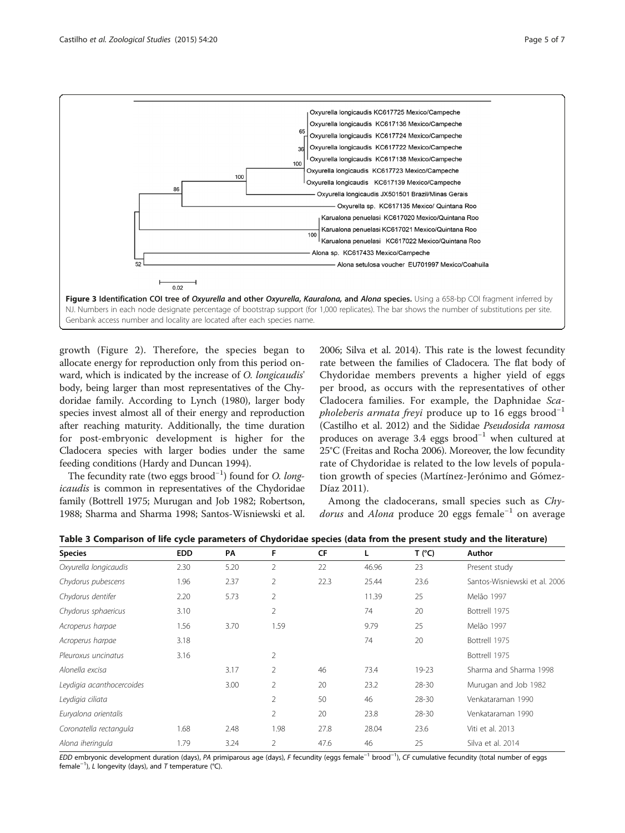

<span id="page-4-0"></span>

growth (Figure [2\)](#page-3-0). Therefore, the species began to allocate energy for reproduction only from this period onward, which is indicated by the increase of O. longicaudis' body, being larger than most representatives of the Chydoridae family. According to Lynch [\(1980](#page-6-0)), larger body species invest almost all of their energy and reproduction after reaching maturity. Additionally, the time duration for post-embryonic development is higher for the Cladocera species with larger bodies under the same feeding conditions (Hardy and Duncan [1994](#page-6-0)).

The fecundity rate (two eggs brood<sup>-1</sup>) found for *O. long*icaudis is common in representatives of the Chydoridae family (Bottrell [1975;](#page-5-0) Murugan and Job [1982;](#page-6-0) Robertson, [1988;](#page-6-0) Sharma and Sharma [1998](#page-6-0); Santos-Wisniewski et al. [2006](#page-6-0); Silva et al. [2014\)](#page-6-0). This rate is the lowest fecundity rate between the families of Cladocera. The flat body of Chydoridae members prevents a higher yield of eggs per brood, as occurs with the representatives of other Cladocera families. For example, the Daphnidae Sca*pholeberis armata freyi* produce up to 16 eggs brood<sup>-1</sup> (Castilho et al. [2012](#page-5-0)) and the Sididae Pseudosida ramosa produces on average 3.4 eggs brood−<sup>1</sup> when cultured at 25°C (Freitas and Rocha [2006\)](#page-6-0). Moreover, the low fecundity rate of Chydoridae is related to the low levels of population growth of species (Martínez-Jerónimo and Gómez-Díaz [2011](#page-6-0)).

Among the cladocerans, small species such as Chy*dorus* and *Alona* produce 20 eggs female<sup>-1</sup> on average

|  |  |  | Table 3 Comparison of life cycle parameters of Chydoridae species (data from the present study and the literature) |  |
|--|--|--|--------------------------------------------------------------------------------------------------------------------|--|
|--|--|--|--------------------------------------------------------------------------------------------------------------------|--|

| <b>Species</b>            | <b>EDD</b> | PA   | F              | CF   | L     | T (°C)    | Author                        |  |
|---------------------------|------------|------|----------------|------|-------|-----------|-------------------------------|--|
| Oxyurella longicaudis     | 2.30       | 5.20 | $\overline{2}$ | 22   | 46.96 | 23        | Present study                 |  |
| Chydorus pubescens        | 1.96       | 2.37 | $\overline{2}$ | 22.3 | 25.44 | 23.6      | Santos-Wisniewski et al. 2006 |  |
| Chydorus dentifer         | 2.20       | 5.73 | 2              |      | 11.39 | 25        | Melão 1997                    |  |
| Chydorus sphaericus       | 3.10       |      | $\overline{2}$ |      | 74    | 20        | Bottrell 1975                 |  |
| Acroperus harpae          | 1.56       | 3.70 | 1.59           |      | 9.79  | 25        | Melão 1997                    |  |
| Acroperus harpae          | 3.18       |      |                |      | 74    | 20        | Bottrell 1975                 |  |
| Pleuroxus uncinatus       | 3.16       |      | $\overline{2}$ |      |       |           | Bottrell 1975                 |  |
| Alonella excisa           |            | 3.17 | $\overline{2}$ | 46   | 73.4  | $19 - 23$ | Sharma and Sharma 1998        |  |
| Leydigia acanthocercoides |            | 3.00 | 2              | 20   | 23.2  | 28-30     | Murugan and Job 1982          |  |
| Leydigia ciliata          |            |      | $\overline{2}$ | 50   | 46    | $28 - 30$ | Venkataraman 1990             |  |
| Euryalona orientalis      |            |      | 2              | 20   | 23.8  | $28 - 30$ | Venkataraman 1990             |  |
| Coronatella rectangula    | 1.68       | 2.48 | 1.98           | 27.8 | 28.04 | 23.6      | Viti et al. 2013              |  |
| Alona iheringula          | 1.79       | 3.24 | 2              | 47.6 | 46    | 25        | Silva et al. 2014             |  |

EDD embryonic development duration (days), PA primiparous age (days), F fecundity (eggs female−<sup>1</sup> brood−<sup>1</sup> ), CF cumulative fecundity (total number of eggs female<sup>−1</sup>), *L* longevity (days), and *T* temperature (°C).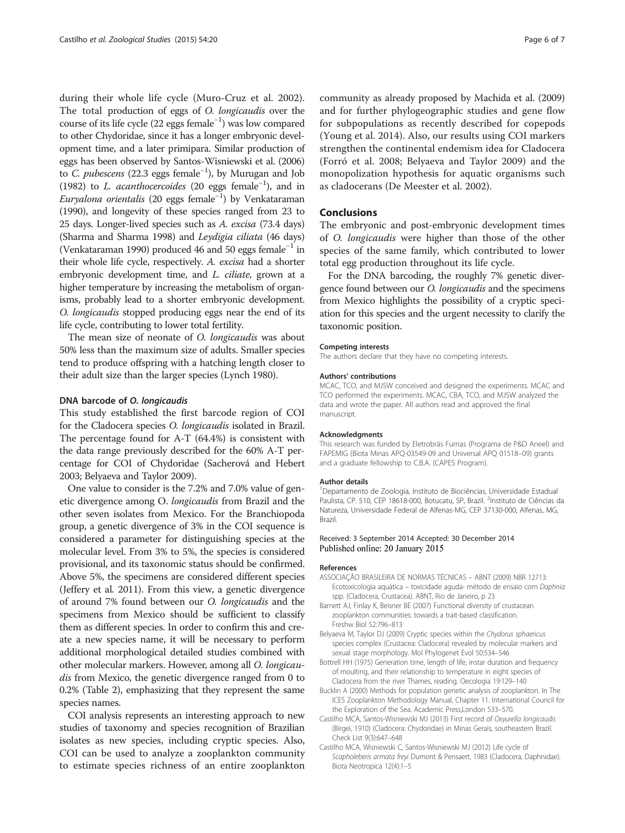<span id="page-5-0"></span>during their whole life cycle (Muro-Cruz et al. [2002](#page-6-0)). The total production of eggs of O. longicaudis over the course of its life cycle (22 eggs female−<sup>1</sup> ) was low compared to other Chydoridae, since it has a longer embryonic development time, and a later primipara. Similar production of eggs has been observed by Santos-Wisniewski et al. [\(2006](#page-6-0)) to C. *pubescens* (22.3 eggs female<sup>-1</sup>), by Murugan and Job ([1982\)](#page-6-0) to L. acanthocercoides (20 eggs female−<sup>1</sup> ), and in *Euryalona orientalis* (20 eggs female<sup>-1</sup>) by Venkataraman ([1990\)](#page-6-0), and longevity of these species ranged from 23 to 25 days. Longer-lived species such as A. excisa (73.4 days) (Sharma and Sharma [1998](#page-6-0)) and Leydigia ciliata (46 days) (Venkataraman [1990](#page-6-0)) produced 46 and 50 eggs female−<sup>1</sup> in their whole life cycle, respectively. A. excisa had a shorter embryonic development time, and L. ciliate, grown at a higher temperature by increasing the metabolism of organisms, probably lead to a shorter embryonic development. O. longicaudis stopped producing eggs near the end of its life cycle, contributing to lower total fertility.

The mean size of neonate of O. *longicaudis* was about 50% less than the maximum size of adults. Smaller species tend to produce offspring with a hatching length closer to their adult size than the larger species (Lynch [1980\)](#page-6-0).

#### DNA barcode of O. longicaudis

This study established the first barcode region of COI for the Cladocera species O. longicaudis isolated in Brazil. The percentage found for A-T (64.4%) is consistent with the data range previously described for the 60% A-T percentage for COI of Chydoridae (Sacherová and Hebert [2003;](#page-6-0) Belyaeva and Taylor 2009).

One value to consider is the 7.2% and 7.0% value of genetic divergence among O. longicaudis from Brazil and the other seven isolates from Mexico. For the Branchiopoda group, a genetic divergence of 3% in the COI sequence is considered a parameter for distinguishing species at the molecular level. From 3% to 5%, the species is considered provisional, and its taxonomic status should be confirmed. Above 5%, the specimens are considered different species (Jeffery et al. [2011\)](#page-6-0). From this view, a genetic divergence of around 7% found between our O. longicaudis and the specimens from Mexico should be sufficient to classify them as different species. In order to confirm this and create a new species name, it will be necessary to perform additional morphological detailed studies combined with other molecular markers. However, among all O. longicaudis from Mexico, the genetic divergence ranged from 0 to 0.2% (Table [2\)](#page-3-0), emphasizing that they represent the same species names.

COI analysis represents an interesting approach to new studies of taxonomy and species recognition of Brazilian isolates as new species, including cryptic species. Also, COI can be used to analyze a zooplankton community to estimate species richness of an entire zooplankton community as already proposed by Machida et al. [\(2009](#page-6-0)) and for further phylogeographic studies and gene flow for subpopulations as recently described for copepods (Young et al. [2014\)](#page-6-0). Also, our results using COI markers strengthen the continental endemism idea for Cladocera (Forró et al. [2008](#page-6-0); Belyaeva and Taylor 2009) and the monopolization hypothesis for aquatic organisms such as cladocerans (De Meester et al. [2002](#page-6-0)).

## Conclusions

The embryonic and post-embryonic development times of O. longicaudis were higher than those of the other species of the same family, which contributed to lower total egg production throughout its life cycle.

For the DNA barcoding, the roughly 7% genetic divergence found between our O. longicaudis and the specimens from Mexico highlights the possibility of a cryptic speciation for this species and the urgent necessity to clarify the taxonomic position.

#### Competing interests

The authors declare that they have no competing interests.

#### Authors' contributions

MCAC, TCO, and MJSW conceived and designed the experiments. MCAC and TCO performed the experiments. MCAC, CBA, TCO, and MJSW analyzed the data and wrote the paper. All authors read and approved the final manuscript.

#### Acknowledgments

This research was funded by Eletrobrás Furnas (Programa de P&D Aneel) and FAPEMIG (Biota Minas APQ-03549-09 and Universal APQ 01518–09) grants and a graduate fellowship to C.B.A. (CAPES Program).

#### Author details

<sup>1</sup>Departamento de Zoologia, Instituto de Biociências, Universidade Estadual Paulista, CP. 510, CEP 18618-000, Botucatu, SP, Brazil. <sup>2</sup>Instituto de Ciências da Natureza, Universidade Federal de Alfenas-MG, CEP 37130-000, Alfenas, MG, Brazil.

#### Received: 3 September 2014 Accepted: 30 December 2014 Published online: 20 January 2015

#### References

- ASSOCIAÇÃO BRASILEIRA DE NORMAS TÉCNICAS ABNT (2009) NBR 12713: Ecotoxicologia aquática – toxicidade aguda- método de ensaio com Daphnia spp. (Cladocera, Crustacea). ABNT, Rio de Janeiro, p 23
- Barnett AJ, Finlay K, Beisner BE (2007) Functional diversity of crustacean zooplankton communities: towards a trait-based classification. Freshw Biol 52:796–813
- Belyaeva M, Taylor DJ (2009) Cryptic species within the Chydorus sphaericus species complex (Crustacea: Cladocera) revealed by molecular markers and sexual stage morphology. Mol Phylogenet Evol 50:534–546
- Bottrell HH (1975) Generation time, length of life, instar duration and frequency of moulting, and their relationship to temperature in eight species of Cladocera from the river Thames, reading. Oecologia 19:129–140
- Bucklin A (2000) Methods for population genetic analysis of zooplankton. In The ICES Zooplankton Methodology Manual, Chapter 11. International Council for the Exploration of the Sea. Academic Press,London 533–570.
- Castilho MCA, Santos-Wisniewski MJ (2013) First record of Oxyurella longicaudis (Birgei, 1910) (Cladocera: Chydoridae) in Minas Gerais, southeastern Brazil. Check List 9(3):647–648
- Castilho MCA, Wisniewski C, Santos-Wisniewski MJ (2012) Life cycle of Scapholeberis armata freyi Dumont & Pensaert, 1983 (Cladocera, Daphnidae). Biota Neotropica 12(4):1–5